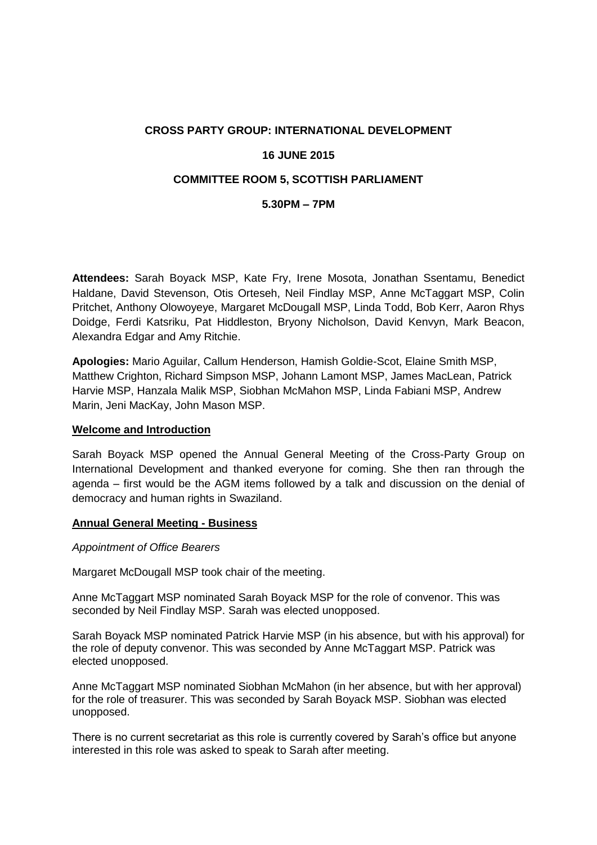# **CROSS PARTY GROUP: INTERNATIONAL DEVELOPMENT**

## **16 JUNE 2015**

# **COMMITTEE ROOM 5, SCOTTISH PARLIAMENT**

### **5.30PM – 7PM**

**Attendees:** Sarah Boyack MSP, Kate Fry, Irene Mosota, Jonathan Ssentamu, Benedict Haldane, David Stevenson, Otis Orteseh, Neil Findlay MSP, Anne McTaggart MSP, Colin Pritchet, Anthony Olowoyeye, Margaret McDougall MSP, Linda Todd, Bob Kerr, Aaron Rhys Doidge, Ferdi Katsriku, Pat Hiddleston, Bryony Nicholson, David Kenvyn, Mark Beacon, Alexandra Edgar and Amy Ritchie.

**Apologies:** Mario Aguilar, Callum Henderson, Hamish Goldie-Scot, Elaine Smith MSP, Matthew Crighton, Richard Simpson MSP, Johann Lamont MSP, James MacLean, Patrick Harvie MSP, Hanzala Malik MSP, Siobhan McMahon MSP, Linda Fabiani MSP, Andrew Marin, Jeni MacKay, John Mason MSP.

#### **Welcome and Introduction**

Sarah Boyack MSP opened the Annual General Meeting of the Cross-Party Group on International Development and thanked everyone for coming. She then ran through the agenda – first would be the AGM items followed by a talk and discussion on the denial of democracy and human rights in Swaziland.

#### **Annual General Meeting - Business**

#### *Appointment of Office Bearers*

Margaret McDougall MSP took chair of the meeting.

Anne McTaggart MSP nominated Sarah Boyack MSP for the role of convenor. This was seconded by Neil Findlay MSP. Sarah was elected unopposed.

Sarah Boyack MSP nominated Patrick Harvie MSP (in his absence, but with his approval) for the role of deputy convenor. This was seconded by Anne McTaggart MSP. Patrick was elected unopposed.

Anne McTaggart MSP nominated Siobhan McMahon (in her absence, but with her approval) for the role of treasurer. This was seconded by Sarah Boyack MSP. Siobhan was elected unopposed.

There is no current secretariat as this role is currently covered by Sarah's office but anyone interested in this role was asked to speak to Sarah after meeting.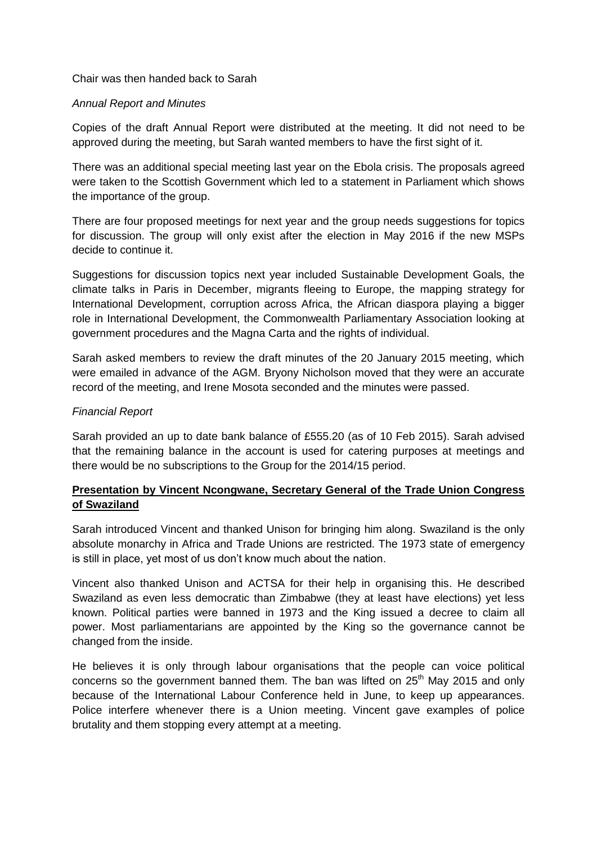Chair was then handed back to Sarah

### *Annual Report and Minutes*

Copies of the draft Annual Report were distributed at the meeting. It did not need to be approved during the meeting, but Sarah wanted members to have the first sight of it.

There was an additional special meeting last year on the Ebola crisis. The proposals agreed were taken to the Scottish Government which led to a statement in Parliament which shows the importance of the group.

There are four proposed meetings for next year and the group needs suggestions for topics for discussion. The group will only exist after the election in May 2016 if the new MSPs decide to continue it.

Suggestions for discussion topics next year included Sustainable Development Goals, the climate talks in Paris in December, migrants fleeing to Europe, the mapping strategy for International Development, corruption across Africa, the African diaspora playing a bigger role in International Development, the Commonwealth Parliamentary Association looking at government procedures and the Magna Carta and the rights of individual.

Sarah asked members to review the draft minutes of the 20 January 2015 meeting, which were emailed in advance of the AGM. Bryony Nicholson moved that they were an accurate record of the meeting, and Irene Mosota seconded and the minutes were passed.

### *Financial Report*

Sarah provided an up to date bank balance of £555.20 (as of 10 Feb 2015). Sarah advised that the remaining balance in the account is used for catering purposes at meetings and there would be no subscriptions to the Group for the 2014/15 period.

# **Presentation by Vincent Ncongwane, Secretary General of the Trade Union Congress of Swaziland**

Sarah introduced Vincent and thanked Unison for bringing him along. Swaziland is the only absolute monarchy in Africa and Trade Unions are restricted. The 1973 state of emergency is still in place, yet most of us don't know much about the nation.

Vincent also thanked Unison and ACTSA for their help in organising this. He described Swaziland as even less democratic than Zimbabwe (they at least have elections) yet less known. Political parties were banned in 1973 and the King issued a decree to claim all power. Most parliamentarians are appointed by the King so the governance cannot be changed from the inside.

He believes it is only through labour organisations that the people can voice political concerns so the government banned them. The ban was lifted on  $25<sup>th</sup>$  May 2015 and only because of the International Labour Conference held in June, to keep up appearances. Police interfere whenever there is a Union meeting. Vincent gave examples of police brutality and them stopping every attempt at a meeting.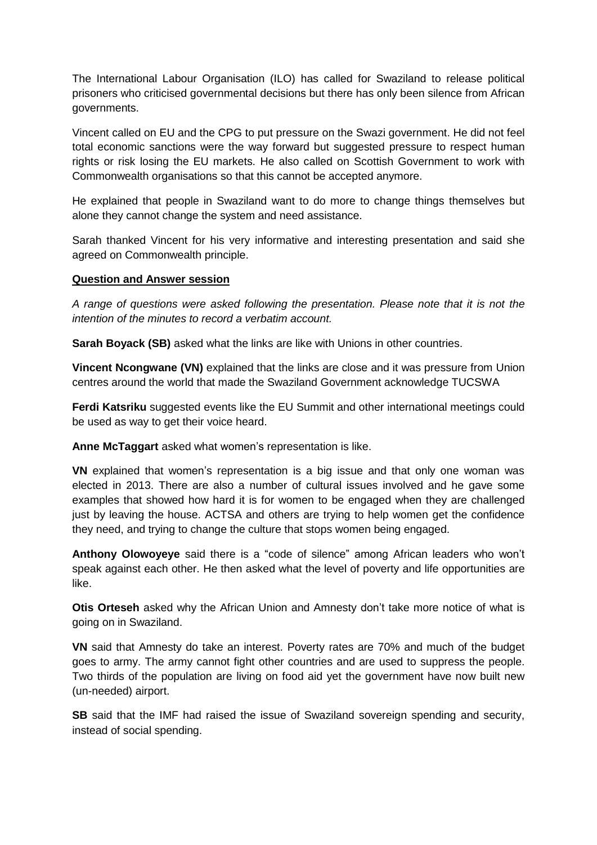The International Labour Organisation (ILO) has called for Swaziland to release political prisoners who criticised governmental decisions but there has only been silence from African governments.

Vincent called on EU and the CPG to put pressure on the Swazi government. He did not feel total economic sanctions were the way forward but suggested pressure to respect human rights or risk losing the EU markets. He also called on Scottish Government to work with Commonwealth organisations so that this cannot be accepted anymore.

He explained that people in Swaziland want to do more to change things themselves but alone they cannot change the system and need assistance.

Sarah thanked Vincent for his very informative and interesting presentation and said she agreed on Commonwealth principle.

# **Question and Answer session**

*A range of questions were asked following the presentation. Please note that it is not the intention of the minutes to record a verbatim account.*

**Sarah Boyack (SB)** asked what the links are like with Unions in other countries.

**Vincent Ncongwane (VN)** explained that the links are close and it was pressure from Union centres around the world that made the Swaziland Government acknowledge TUCSWA

**Ferdi Katsriku** suggested events like the EU Summit and other international meetings could be used as way to get their voice heard.

**Anne McTaggart** asked what women's representation is like.

**VN** explained that women's representation is a big issue and that only one woman was elected in 2013. There are also a number of cultural issues involved and he gave some examples that showed how hard it is for women to be engaged when they are challenged just by leaving the house. ACTSA and others are trying to help women get the confidence they need, and trying to change the culture that stops women being engaged.

**Anthony Olowoyeye** said there is a "code of silence" among African leaders who won't speak against each other. He then asked what the level of poverty and life opportunities are like.

**Otis Orteseh** asked why the African Union and Amnesty don't take more notice of what is going on in Swaziland.

**VN** said that Amnesty do take an interest. Poverty rates are 70% and much of the budget goes to army. The army cannot fight other countries and are used to suppress the people. Two thirds of the population are living on food aid yet the government have now built new (un-needed) airport.

**SB** said that the IMF had raised the issue of Swaziland sovereign spending and security, instead of social spending.